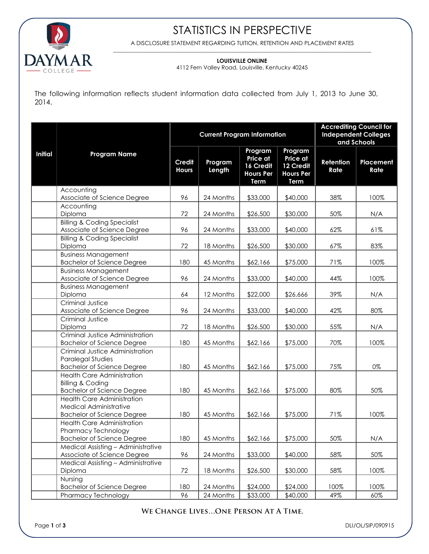

## STATISTICS IN PERSPECTIVE

A DISCLOSURE STATEMENT REGARDING TUITION, RETENTION AND PLACEMENT RATES \_\_\_\_\_\_\_\_\_\_\_\_\_\_\_\_\_\_\_\_\_\_\_\_\_\_\_\_\_\_\_\_\_\_\_\_\_\_\_\_\_\_\_\_\_\_\_\_\_\_\_\_\_\_\_\_\_\_\_\_\_\_\_\_\_\_\_\_\_\_\_\_\_\_\_\_\_\_\_\_\_\_\_\_\_\_\_\_\_\_\_\_\_\_\_\_\_\_\_\_\_

### **LOUISVILLE ONLINE**

4112 Fern Valley Road, Louisville, Kentucky 40245

The following information reflects student information data collected from July 1, 2013 to June 30, 2014.

|                | <b>Program Name</b>                                                                                   | <b>Current Program Information</b> |                   |                                                              |                                                                            | <b>Accrediting Council for</b><br><b>Independent Colleges</b><br>and Schools |                   |
|----------------|-------------------------------------------------------------------------------------------------------|------------------------------------|-------------------|--------------------------------------------------------------|----------------------------------------------------------------------------|------------------------------------------------------------------------------|-------------------|
| <b>Initial</b> |                                                                                                       | Credit<br><b>Hours</b>             | Program<br>Length | Program<br>Price at<br>16 Credit<br><b>Hours Per</b><br>Term | Program<br><b>Price at</b><br>12 Credit<br><b>Hours Per</b><br><b>Term</b> | Retention<br>Rate                                                            | Placement<br>Rate |
|                | Accounting<br>Associate of Science Degree                                                             | 96                                 | 24 Months         | \$33,000                                                     | \$40,000                                                                   | 38%                                                                          | 100%              |
|                | Accounting<br>Diploma                                                                                 | 72                                 | 24 Months         | \$26,500                                                     | \$30,000                                                                   | 50%                                                                          | N/A               |
|                | <b>Billing &amp; Coding Specialist</b><br>Associate of Science Degree                                 | 96                                 | 24 Months         | \$33,000                                                     | \$40,000                                                                   | 62%                                                                          | 61%               |
|                | <b>Billing &amp; Coding Specialist</b><br>Diploma                                                     | 72                                 | 18 Months         | \$26,500                                                     | \$30,000                                                                   | 67%                                                                          | 83%               |
|                | <b>Business Management</b><br><b>Bachelor of Science Degree</b>                                       | 180                                | 45 Months         | \$62,166                                                     | \$75,000                                                                   | 71%                                                                          | 100%              |
|                | <b>Business Management</b><br>Associate of Science Degree                                             | 96                                 | 24 Months         | \$33,000                                                     | \$40,000                                                                   | 44%                                                                          | 100%              |
|                | <b>Business Management</b><br>Diploma                                                                 | 64                                 | 12 Months         | \$22,000                                                     | \$26,666                                                                   | 39%                                                                          | N/A               |
|                | Criminal Justice<br>Associate of Science Degree<br>Criminal Justice                                   | 96                                 | 24 Months         | \$33,000                                                     | \$40,000                                                                   | 42%                                                                          | 80%               |
|                | Diploma<br>Criminal Justice Administration                                                            | 72                                 | 18 Months         | \$26,500                                                     | \$30,000                                                                   | 55%                                                                          | N/A               |
|                | <b>Bachelor of Science Degree</b>                                                                     | 180                                | 45 Months         | \$62,166                                                     | \$75,000                                                                   | 70%                                                                          | 100%              |
|                | Criminal Justice Administration<br><b>Paralegal Studies</b><br><b>Bachelor of Science Degree</b>      | 180                                | 45 Months         | \$62,166                                                     | \$75,000                                                                   | 75%                                                                          | 0%                |
|                | <b>Health Care Administration</b><br><b>Billing &amp; Coding</b><br><b>Bachelor of Science Degree</b> | 180                                | 45 Months         | \$62,166                                                     | \$75,000                                                                   | 80%                                                                          | 50%               |
|                | <b>Health Care Administration</b><br>Medical Administrative<br><b>Bachelor of Science Degree</b>      | 180                                | 45 Months         | \$62,166                                                     | \$75,000                                                                   | 71%                                                                          | 100%              |
|                | <b>Health Care Administration</b><br>Pharmacy Technology<br>Bachelor of Science Degree                | 180                                | 45 Months         | \$62,166                                                     | \$75,000                                                                   | 50%                                                                          | N/A               |
|                | Medical Assisting - Administrative<br>Associate of Science Degree                                     | 96                                 | 24 Months         | \$33,000                                                     | \$40,000                                                                   | 58%                                                                          | 50%               |
|                | Medical Assisting - Administrative<br>Diploma                                                         | 72                                 | 18 Months         | \$26,500                                                     | \$30,000                                                                   | 58%                                                                          | 100%              |
|                | Nursing<br><b>Bachelor of Science Degree</b><br><b>Pharmacy Technology</b>                            | 180<br>96                          | 24 Months         | \$24,000<br>\$33,000                                         | \$24,000<br>\$40,000                                                       | 100%<br>49%                                                                  | 100%              |
|                |                                                                                                       |                                    | 24 Months         |                                                              |                                                                            |                                                                              | 60%               |

## WE CHANGE LIVES...ONE PERSON AT A TIME.

Page **1** of **3** DLI/OL/SIP/090915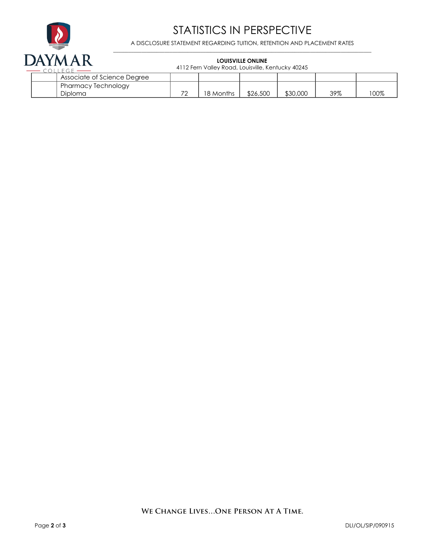

# STATISTICS IN PERSPECTIVE

A DISCLOSURE STATEMENT REGARDING TUITION, RETENTION AND PLACEMENT RATES \_\_\_\_\_\_\_\_\_\_\_\_\_\_\_\_\_\_\_\_\_\_\_\_\_\_\_\_\_\_\_\_\_\_\_\_\_\_\_\_\_\_\_\_\_\_\_\_\_\_\_\_\_\_\_\_\_\_\_\_\_\_\_\_\_\_\_\_\_\_\_\_\_\_\_\_\_\_\_\_\_\_\_\_\_\_\_\_\_\_\_\_\_\_\_\_\_\_\_\_\_

#### **LOUISVILLE ONLINE**

4112 Fern Valley Road, Louisville, Kentucky 40245

| Associate of Science Degree |                          |           |          |          |     |     |
|-----------------------------|--------------------------|-----------|----------|----------|-----|-----|
| I Pharmacy Technology       |                          |           |          |          |     |     |
| Diploma                     | $\overline{\phantom{a}}$ | 18 Months | \$26,500 | \$30,000 | 39% | 00% |